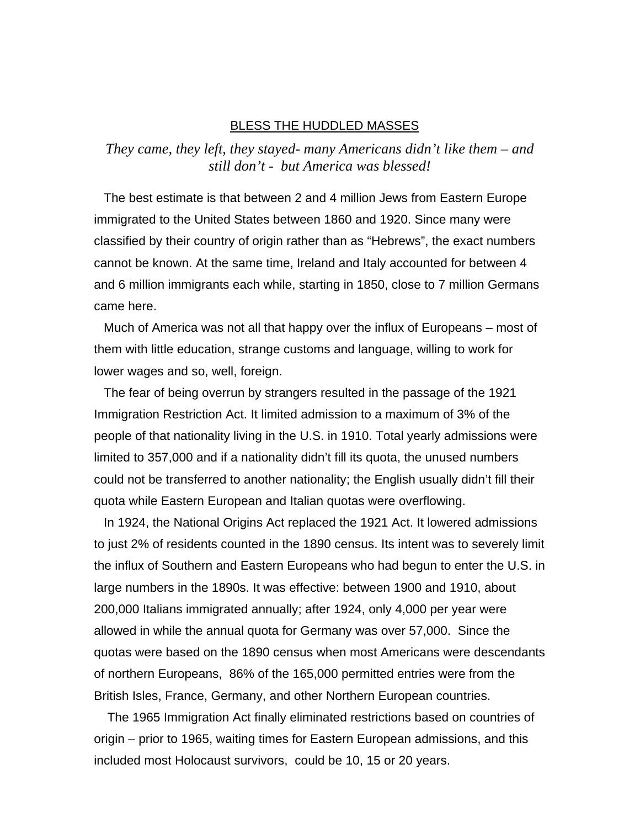## BLESS THE HUDDLED MASSES

*They came, they left, they stayed- many Americans didn't like them – and still don't - but America was blessed!* 

The best estimate is that between 2 and 4 million Jews from Eastern Europe immigrated to the United States between 1860 and 1920. Since many were classified by their country of origin rather than as "Hebrews", the exact numbers cannot be known. At the same time, Ireland and Italy accounted for between 4 and 6 million immigrants each while, starting in 1850, close to 7 million Germans came here.

Much of America was not all that happy over the influx of Europeans – most of them with little education, strange customs and language, willing to work for lower wages and so, well, foreign.

The fear of being overrun by strangers resulted in the passage of the 1921 Immigration Restriction Act. It limited admission to a maximum of 3% of the people of that nationality living in the U.S. in 1910. Total yearly admissions were limited to 357,000 and if a nationality didn't fill its quota, the unused numbers could not be transferred to another nationality; the English usually didn't fill their quota while Eastern European and Italian quotas were overflowing.

In 1924, the National Origins Act replaced the 1921 Act. It lowered admissions to just 2% of residents counted in the 1890 census. Its intent was to severely limit the influx of Southern and Eastern Europeans who had begun to enter the U.S. in large numbers in the [1890s](http://en.wikipedia.org/wiki/1890s). It was effective: between 1900 and 1910, about 200,000 [Italians](http://en.wikipedia.org/wiki/Italy) immigrated annually; after 1924, only 4,000 per year were allowed in while the annual quota for [Germany](http://en.wikipedia.org/wiki/Germany) was over 57,000. Since the quotas were based on the 1890 census when most Americans were descendants of northern Europeans, 86% of the 165,000 permitted entries were from the [British Isles](http://en.wikipedia.org/wiki/British_Isles), [France](http://en.wikipedia.org/wiki/France), Germany, and other Northern European countries.

 The 1965 Immigration Act finally eliminated restrictions based on countries of origin – prior to 1965, waiting times for Eastern European admissions, and this included most Holocaust survivors, could be 10, 15 or 20 years.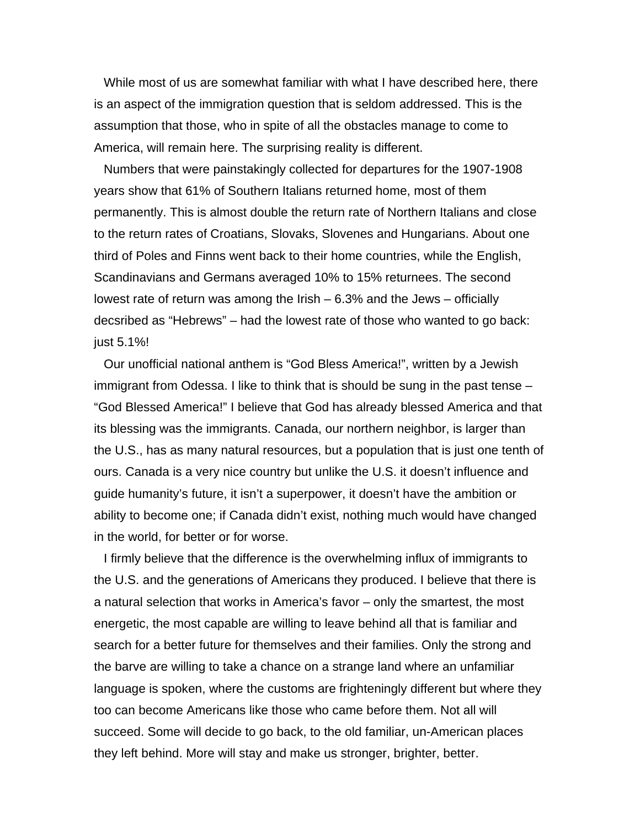While most of us are somewhat familiar with what I have described here, there is an aspect of the immigration question that is seldom addressed. This is the assumption that those, who in spite of all the obstacles manage to come to America, will remain here. The surprising reality is different.

Numbers that were painstakingly collected for departures for the 1907-1908 years show that 61% of Southern Italians returned home, most of them permanently. This is almost double the return rate of Northern Italians and close to the return rates of Croatians, Slovaks, Slovenes and Hungarians. About one third of Poles and Finns went back to their home countries, while the English, Scandinavians and Germans averaged 10% to 15% returnees. The second lowest rate of return was among the Irish – 6.3% and the Jews – officially decsribed as "Hebrews" – had the lowest rate of those who wanted to go back: just 5.1%!

Our unofficial national anthem is "God Bless America!", written by a Jewish immigrant from Odessa. I like to think that is should be sung in the past tense – "God Blessed America!" I believe that God has already blessed America and that its blessing was the immigrants. Canada, our northern neighbor, is larger than the U.S., has as many natural resources, but a population that is just one tenth of ours. Canada is a very nice country but unlike the U.S. it doesn't influence and guide humanity's future, it isn't a superpower, it doesn't have the ambition or ability to become one; if Canada didn't exist, nothing much would have changed in the world, for better or for worse.

I firmly believe that the difference is the overwhelming influx of immigrants to the U.S. and the generations of Americans they produced. I believe that there is a natural selection that works in America's favor – only the smartest, the most energetic, the most capable are willing to leave behind all that is familiar and search for a better future for themselves and their families. Only the strong and the barve are willing to take a chance on a strange land where an unfamiliar language is spoken, where the customs are frighteningly different but where they too can become Americans like those who came before them. Not all will succeed. Some will decide to go back, to the old familiar, un-American places they left behind. More will stay and make us stronger, brighter, better.